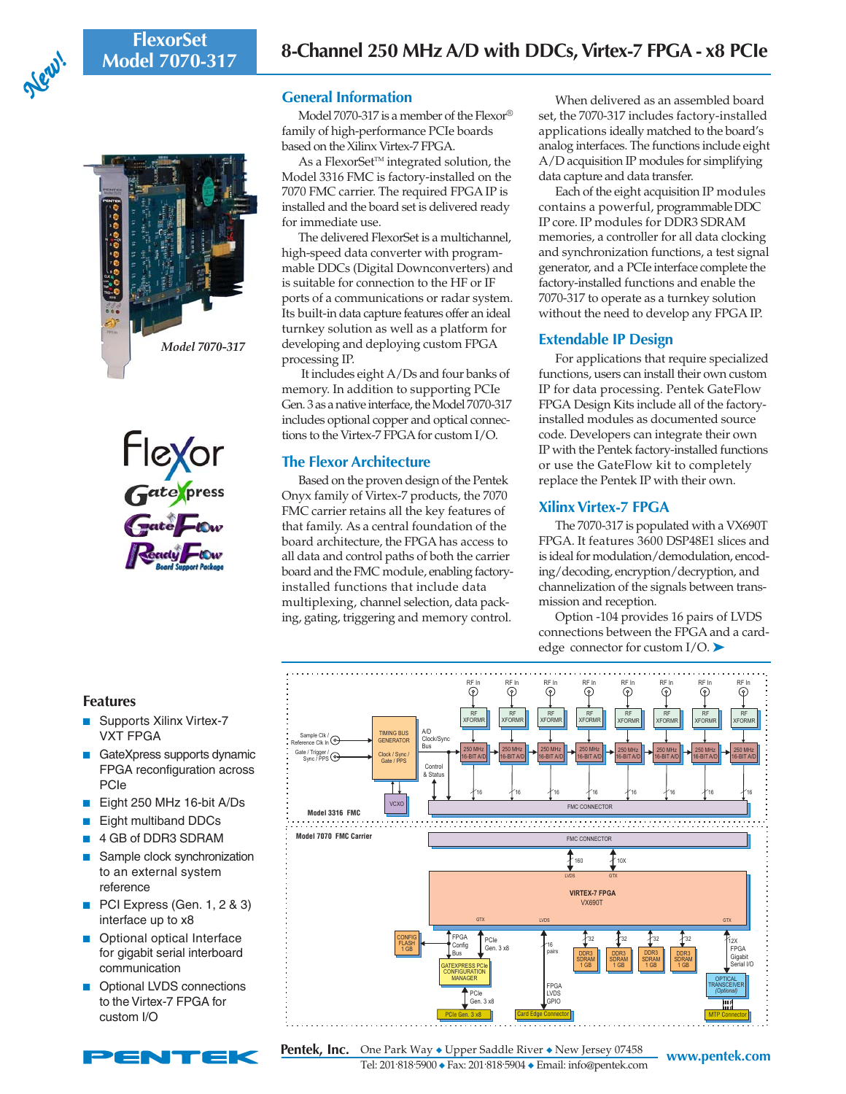**FlexorSet**







# **General Information**

Model 7070-317 is a member of the Flexor® family of high-performance PCIe boards based on the Xilinx Virtex-7 FPGA.

As a FlexorSet<sup>™</sup> integrated solution, the Model 3316 FMC is factory-installed on the 7070 FMC carrier. The required FPGA IP is installed and the board set is delivered ready for immediate use.

The delivered FlexorSet is a multichannel, high-speed data converter with programmable DDCs (Digital Downconverters) and is suitable for connection to the HF or IF ports of a communications or radar system. Its built-in data capture features offer an ideal turnkey solution as well as a platform for developing and deploying custom FPGA processing IP.

 It includes eight A/Ds and four banks of memory. In addition to supporting PCIe Gen. 3 as a native interface, the Model 7070-317 includes optional copper and optical connections to the Virtex-7 FPGA for custom I/O.

## **The Flexor Architecture**

Based on the proven design of the Pentek Onyx family of Virtex-7 products, the 7070 FMC carrier retains all the key features of that family. As a central foundation of the board architecture, the FPGA has access to all data and control paths of both the carrier board and the FMC module, enabling factoryinstalled functions that include data multiplexing, channel selection, data packing, gating, triggering and memory control.

When delivered as an assembled board set, the 7070-317 includes factory-installed applications ideally matched to the board's analog interfaces. The functions include eight A/D acquisition IP modules for simplifying data capture and data transfer.

Each of the eight acquisition IP modules contains a powerful, programmable DDC IP core. IP modules for DDR3 SDRAM memories, a controller for all data clocking and synchronization functions, a test signal generator, and a PCIe interface complete the factory-installed functions and enable the 7070-317 to operate as a turnkey solution without the need to develop any FPGA IP.

# **Extendable IP Design**

For applications that require specialized functions, users can install their own custom IP for data processing. Pentek GateFlow FPGA Design Kits include all of the factoryinstalled modules as documented source code. Developers can integrate their own IP with the Pentek factory-installed functions or use the GateFlow kit to completely replace the Pentek IP with their own.

# **Xilinx Virtex-7 FPGA**

The 7070-317 is populated with a VX690T FPGA. It features 3600 DSP48E1 slices and is ideal for modulation/demodulation, encoding/decoding, encryption/decryption, and channelization of the signals between transmission and reception.

Option -104 provides 16 pairs of LVDS connections between the FPGA and a cardedge connector for custom  $I/O$ .



### **Features**

- Supports Xilinx Virtex-7 VXT FPGA
- GateXpress supports dynamic FPGA reconfiguration across PCIe
- Eight 250 MHz 16-bit A/Ds
- Eight multiband DDCs
- 4 GB of DDR3 SDRAM
- Sample clock synchronization to an external system reference
- PCI Express (Gen. 1, 2 & 3) interface up to x8
- Optional optical Interface for gigabit serial interboard communication
- Optional LVDS connections to the Virtex-7 FPGA for custom I/O

**Pentek, Inc.** One Park Way ◆ Upper Saddle River ◆ New Jersey 07458 www.pentek.com Tel: 201. 818. 5900 ◆ Fax: 201. 818. 5904 ◆ Email: info@pentek.com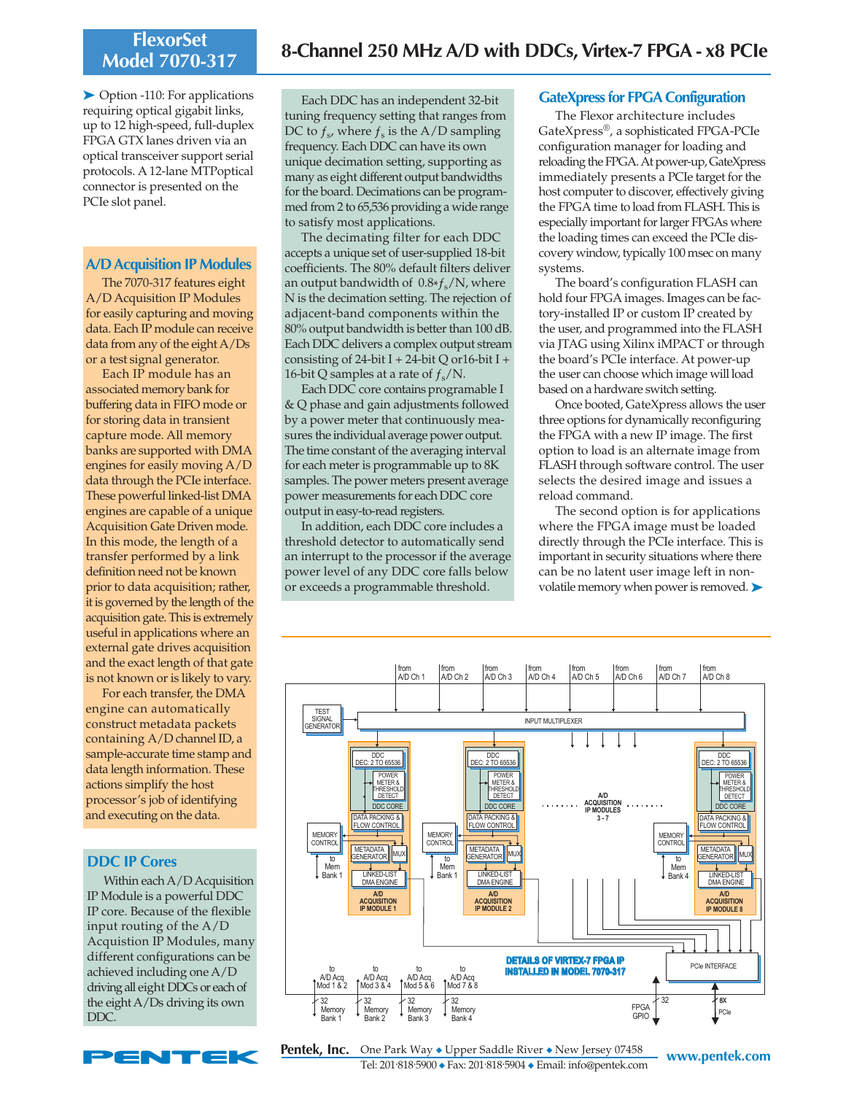# **FlexorSet**

➤ Option -110: For applications requiring optical gigabit links, up to 12 high-speed, full-duplex FPGA GTX lanes driven via an optical transceiver support serial protocols. A 12-lane MTPoptical connector is presented on the PCIe slot panel.

#### **A/D Acquisition IP Modules**

The 7070-317 features eight A/D Acquisition IP Modules for easily capturing and moving data. Each IP module can receive data from any of the eight A/Ds or a test signal generator.

Each IP module has an associated memory bank for buffering data in FIFO mode or for storing data in transient capture mode. All memory banks are supported with DMA engines for easily moving A/D data through the PCIe interface. These powerful linked-list DMA engines are capable of a unique Acquisition Gate Driven mode. In this mode, the length of a transfer performed by a link definition need not be known prior to data acquisition; rather, it is governed by the length of the acquisition gate. This is extremely useful in applications where an external gate drives acquisition and the exact length of that gate is not known or is likely to vary.

For each transfer, the DMA engine can automatically construct metadata packets containing A/D channel ID, a sample-accurate time stamp and data length information. These actions simplify the host processor's job of identifying and executing on the data.

### **DDC IP Cores**

Within each A/D Acquisition IP Module is a powerful DDC IP core. Because of the flexible input routing of the A/D Acquistion IP Modules, many different configurations can be achieved including one A/D driving all eight DDCs or each of the eight A/Ds driving its own DDC.



Each DDC has an independent 32-bit tuning frequency setting that ranges from DC to  $f_s$ , where  $f_s$  is the A/D sampling frequency. Each DDC can have its own unique decimation setting, supporting as many as eight different output bandwidths for the board. Decimations can be programmed from 2 to 65,536 providing a wide range to satisfy most applications.

The decimating filter for each DDC accepts a unique set of user-supplied 18-bit coefficients. The 80% default filters deliver an output bandwidth of  $0.8*f_s/N$ , where N is the decimation setting. The rejection of adjacent-band components within the 80% output bandwidth is better than 100 dB. Each DDC delivers a complex output stream consisting of 24-bit I + 24-bit Q or 16-bit I + 16-bit Q samples at a rate of  $f_s/N$ .

Each DDC core contains programable I & Q phase and gain adjustments followed by a power meter that continuously measures the individual average power output. The time constant of the averaging interval for each meter is programmable up to 8K samples. The power meters present average power measurements for each DDC core output in easy-to-read registers.

In addition, each DDC core includes a threshold detector to automatically send an interrupt to the processor if the average power level of any DDC core falls below or exceeds a programmable threshold.

### **GateXpress for FPGA Configuration**

The Flexor architecture includes GateXpress®, a sophisticated FPGA-PCIe configuration manager for loading and reloading the FPGA. At power-up, GateXpress immediately presents a PCIe target for the host computer to discover, effectively giving the FPGA time to load from FLASH. This is especially important for larger FPGAs where the loading times can exceed the PCIe discovery window, typically 100 msec on many systems.

The board's configuration FLASH can hold four FPGA images. Images can be factory-installed IP or custom IP created by the user, and programmed into the FLASH via JTAG using Xilinx iMPACT or through the board's PCIe interface. At power-up the user can choose which image will load based on a hardware switch setting.

Once booted, GateXpress allows the user three options for dynamically reconfiguring the FPGA with a new IP image. The first option to load is an alternate image from FLASH through software control. The user selects the desired image and issues a reload command.

The second option is for applications where the FPGA image must be loaded directly through the PCIe interface. This is important in security situations where there can be no latent user image left in nonvolatile memory when power is removed. ▶



**www.pentek.com** One Park Way ◆ Upper Saddle River ◆ New Jersey 07458 Tel: 201. 818. 5900 ◆ Fax: 201. 818. 5904 ◆ Email: info@pentek.com **Pentek, Inc.**